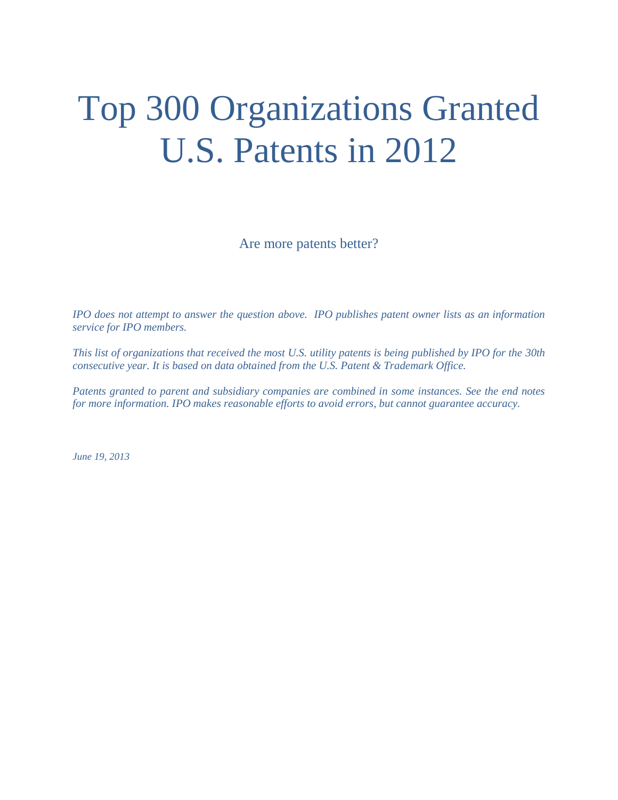# Top 300 Organizations Granted U.S. Patents in 2012

Are more patents better?

*IPO does not attempt to answer the question above. IPO publishes patent owner lists as an information service for IPO members.*

*This list of organizations that received the most U.S. utility patents is being published by IPO for the 30th consecutive year. It is based on data obtained from the U.S. Patent & Trademark Office.* 

*Patents granted to parent and subsidiary companies are combined in some instances. See the end notes for more information. IPO makes reasonable efforts to avoid errors, but cannot guarantee accuracy.*

*June 19, 2013*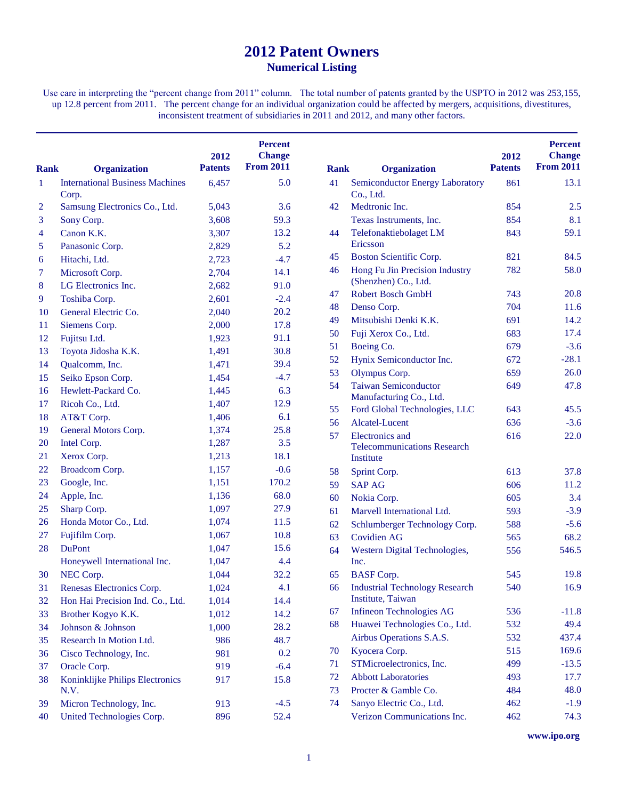# **Patent Owners Numerical Listing**

Use care in interpreting the "percent change from 2011" column. The total number of patents granted by the USPTO in 2012 was 253,155, up 12.8 percent from 2011. The percent change for an individual organization could be affected by mergers, acquisitions, divestitures, inconsistent treatment of subsidiaries in 2011 and 2012, and many other factors.

| <b>Rank</b>    | <b>Organization</b>                    | 2012<br><b>Patents</b> | <b>Percent</b><br><b>Change</b><br><b>From 2011</b> | <b>Rank</b> | <b>Organization</b>                    | 2012<br><b>Patents</b> | <b>Percent</b><br><b>Change</b><br><b>From 2011</b> |
|----------------|----------------------------------------|------------------------|-----------------------------------------------------|-------------|----------------------------------------|------------------------|-----------------------------------------------------|
| $\mathbf{1}$   | <b>International Business Machines</b> | 6,457                  | 5.0                                                 | 41          | <b>Semiconductor Energy Laboratory</b> | 861                    | 13.1                                                |
|                | Corp.                                  |                        | 3.6                                                 | 42          | Co., Ltd.<br>Medtronic Inc.            |                        |                                                     |
| $\overline{2}$ | Samsung Electronics Co., Ltd.          | 5,043                  | 59.3                                                |             |                                        | 854<br>854             | 2.5<br>8.1                                          |
| 3              | Sony Corp.                             | 3,608                  | 13.2                                                |             | Texas Instruments, Inc.                |                        | 59.1                                                |
| 4              | Canon K.K.                             | 3,307                  | 5.2                                                 | 44          | Telefonaktiebolaget LM<br>Ericsson     | 843                    |                                                     |
| 5              | Panasonic Corp.                        | 2,829                  |                                                     | 45          | Boston Scientific Corp.                | 821                    | 84.5                                                |
| 6              | Hitachi, Ltd.                          | 2,723                  | $-4.7$                                              | 46          | Hong Fu Jin Precision Industry         | 782                    | 58.0                                                |
| 7              | Microsoft Corp.                        | 2,704                  | 14.1                                                |             | (Shenzhen) Co., Ltd.                   |                        |                                                     |
| 8              | LG Electronics Inc.                    | 2,682                  | 91.0                                                | 47          | <b>Robert Bosch GmbH</b>               | 743                    | 20.8                                                |
| 9              | Toshiba Corp.                          | 2,601                  | $-2.4$                                              | 48          | Denso Corp.                            | 704                    | 11.6                                                |
| <b>10</b>      | General Electric Co.                   | 2,040                  | 20.2                                                | 49          | Mitsubishi Denki K.K.                  | 691                    | 14.2                                                |
| 11             | Siemens Corp.                          | 2,000                  | 17.8                                                | 50          | Fuji Xerox Co., Ltd.                   | 683                    | 17.4                                                |
| 12             | Fujitsu Ltd.                           | 1,923                  | 91.1                                                | 51          | Boeing Co.                             | 679                    | $-3.6$                                              |
| 13             | Toyota Jidosha K.K.                    | 1,491                  | 30.8                                                | 52          | Hynix Semiconductor Inc.               | 672                    | $-28.1$                                             |
| 14             | Qualcomm, Inc.                         | 1,471                  | 39.4                                                | 53          | Olympus Corp.                          | 659                    | 26.0                                                |
| 15             | Seiko Epson Corp.                      | 1,454                  | $-4.7$                                              | 54          | <b>Taiwan Semiconductor</b>            | 649                    | 47.8                                                |
| 16             | Hewlett-Packard Co.                    | 1,445                  | 6.3                                                 |             | Manufacturing Co., Ltd.                |                        |                                                     |
| 17             | Ricoh Co., Ltd.                        | 1,407                  | 12.9                                                | 55          | Ford Global Technologies, LLC          | 643                    | 45.5                                                |
| 18             | AT&T Corp.                             | 1,406                  | 6.1                                                 | 56          | Alcatel-Lucent                         | 636                    | $-3.6$                                              |
| 19             | General Motors Corp.                   | 1,374                  | 25.8                                                | 57          | Electronics and                        | 616                    | 22.0                                                |
| <b>20</b>      | Intel Corp.                            | 1,287                  | 3.5                                                 |             | <b>Telecommunications Research</b>     |                        |                                                     |
| 21             | Xerox Corp.                            | 1,213                  | 18.1                                                |             | Institute                              |                        |                                                     |
| 22             | Broadcom Corp.                         | 1,157                  | $-0.6$                                              | 58          | Sprint Corp.                           | 613                    | 37.8                                                |
| 23             | Google, Inc.                           | 1,151                  | 170.2                                               | 59          | <b>SAP AG</b>                          | 606                    | 11.2                                                |
| 24             | Apple, Inc.                            | 1,136                  | 68.0                                                | 60          | Nokia Corp.                            | 605                    | 3.4                                                 |
| 25             | Sharp Corp.                            | 1,097                  | 27.9                                                | 61          | Marvell International Ltd.             | 593                    | $-3.9$                                              |
| 26             | Honda Motor Co., Ltd.                  | 1,074                  | 11.5                                                | 62          | Schlumberger Technology Corp.          | 588                    | $-5.6$                                              |
| 27             | Fujifilm Corp.                         | 1,067                  | 10.8                                                | 63          | <b>Covidien AG</b>                     | 565                    | 68.2                                                |
| 28             | <b>DuPont</b>                          | 1,047                  | 15.6                                                | 64          | Western Digital Technologies,          | 556                    | 546.5                                               |
|                | Honeywell International Inc.           | 1,047                  | 4.4                                                 |             | Inc.                                   |                        |                                                     |
| 30             | NEC Corp.                              | 1,044                  | 32.2                                                | 65          | <b>BASF</b> Corp.                      | 545                    | 19.8                                                |
| 31             | Renesas Electronics Corp.              | 1,024                  | 4.1                                                 | 66          | <b>Industrial Technology Research</b>  | 540                    | 16.9                                                |
| 32             | Hon Hai Precision Ind. Co., Ltd.       | 1,014                  | 14.4                                                |             | Institute, Taiwan                      |                        |                                                     |
| 33             | Brother Kogyo K.K.                     | 1,012                  | 14.2                                                | 67          | <b>Infineon Technologies AG</b>        | 536                    | $-11.8$                                             |
| 34             | Johnson & Johnson                      | 1,000                  | 28.2                                                | 68          | Huawei Technologies Co., Ltd.          | 532                    | 49.4                                                |
| 35             | Research In Motion Ltd.                | 986                    | 48.7                                                |             | Airbus Operations S.A.S.               | 532                    | 437.4                                               |
| 36             | Cisco Technology, Inc.                 | 981                    | 0.2                                                 | 70          | Kyocera Corp.                          | 515                    | 169.6                                               |
| 37             | Oracle Corp.                           | 919                    | $-6.4$                                              | 71          | STMicroelectronics, Inc.               | 499                    | $-13.5$                                             |
| 38             | Koninklijke Philips Electronics        | 917                    | 15.8                                                | 72          | <b>Abbott Laboratories</b>             | 493                    | 17.7                                                |
|                | N.V.                                   |                        |                                                     | 73          | Procter & Gamble Co.                   | 484                    | 48.0                                                |
| 39             | Micron Technology, Inc.                | 913                    | $-4.5$                                              | 74          | Sanyo Electric Co., Ltd.               | 462                    | $-1.9$                                              |
| 40             | United Technologies Corp.              | 896                    | 52.4                                                |             | Verizon Communications Inc.            | 462                    | 74.3                                                |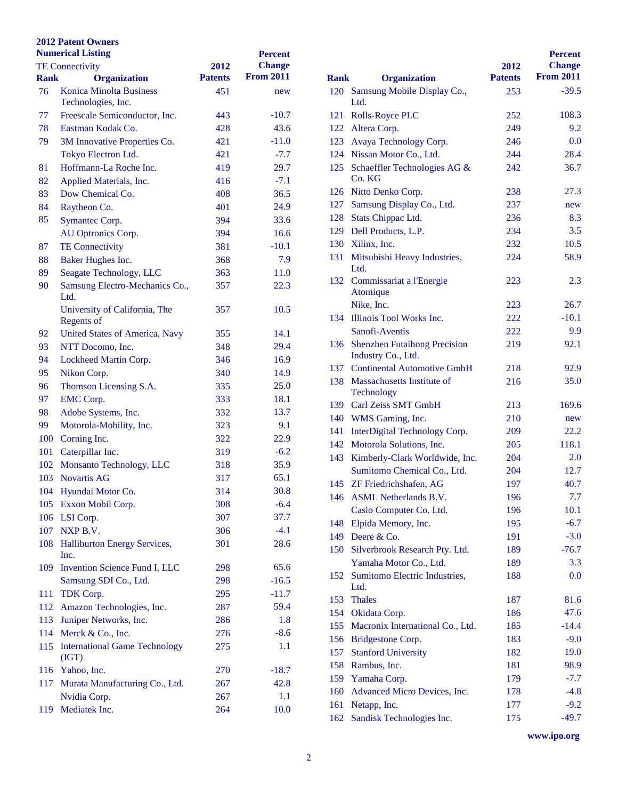| <b>Numerical Listing</b> |                                                      | <b>Percent</b> |                  |             |                                          |
|--------------------------|------------------------------------------------------|----------------|------------------|-------------|------------------------------------------|
|                          | <b>TE Connectivity</b>                               | 2012           | <b>Change</b>    |             |                                          |
| <b>Rank</b>              | <b>Organization</b>                                  | <b>Patents</b> | <b>From 2011</b> | <b>Rank</b> | <b>Organization</b>                      |
| 76                       | <b>Konica Minolta Business</b><br>Technologies, Inc. | 451            | new              |             | 120 Samsung Mobile Disp<br>Ltd.          |
| 77                       | Freescale Semiconductor, Inc.                        | 443            | $-10.7$          |             | 121 Rolls-Royce PLC                      |
| 78                       | Eastman Kodak Co.                                    | 428            | 43.6             |             | 122 Altera Corp.                         |
| 79                       | 3M Innovative Properties Co.                         | 421            | $-11.0$          |             | 123 Avaya Technology Co                  |
|                          | Tokyo Electron Ltd.                                  | 421            | $-7.7$           |             | 124 Nissan Motor Co., Ltd                |
| 81                       | Hoffmann-La Roche Inc.                               | 419            | 29.7             | 125         | Schaeffler Technologi                    |
| 82                       | Applied Materials, Inc.                              | 416            | $-7.1$           |             | Co. KG                                   |
| 83                       | Dow Chemical Co.                                     | 408            | 36.5             |             | 126 Nitto Denko Corp.                    |
| 84                       | Raytheon Co.                                         | 401            | 24.9             |             | 127 Samsung Display Co.,                 |
| 85                       | Symantec Corp.                                       | 394            | 33.6             |             | 128 Stats Chippac Ltd.                   |
|                          | AU Optronics Corp.                                   | 394            | 16.6             |             | 129 Dell Products, L.P.                  |
| 87                       | <b>TE Connectivity</b>                               | 381            | $-10.1$          |             | 130 Xilinx, Inc.                         |
| 88                       | Baker Hughes Inc.                                    | 368            | 7.9              | 131         | Mitsubishi Heavy Ind                     |
| 89                       | Seagate Technology, LLC                              | 363            | 11.0             |             | Ltd.                                     |
| 90                       | Samsung Electro-Mechanics Co.,<br>Ltd.               | 357            | 22.3             |             | 132 Commissariat a l'Ener<br>Atomique    |
|                          | University of California, The<br>Regents of          | 357            | 10.5             |             | Nike, Inc.<br>134 Illinois Tool Works In |
| 92                       | United States of America, Navy                       | 355            | 14.1             |             | Sanofi-Aventis                           |
| 93                       | NTT Docomo, Inc.                                     | 348            | 29.4             |             | 136 Shenzhen Futaihong F                 |
| 94                       | Lockheed Martin Corp.                                | 346            | 16.9             |             | Industry Co., Ltd.                       |
| 95                       | Nikon Corp.                                          | 340            | 14.9             |             | 137 Continental Automoti                 |
| 96                       | Thomson Licensing S.A.                               | 335            | 25.0             |             | 138 Massachusetts Institut               |
| 97                       | <b>EMC</b> Corp.                                     | 333            | 18.1             |             | Technology                               |
| 98                       | Adobe Systems, Inc.                                  | 332            | 13.7             |             | 139 Carl Zeiss SMT Gmbl                  |
| 99                       | Motorola-Mobility, Inc.                              | 323            | 9.1              |             | 140 WMS Gaming, Inc.                     |
| 100                      | Corning Inc.                                         | 322            | 22.9             | 141         | InterDigital Technolog                   |
| 101                      | Caterpillar Inc.                                     | 319            | $-6.2$           |             | 142 Motorola Solutions, In               |
| 102                      | Monsanto Technology, LLC                             | 318            | 35.9             |             | 143 Kimberly-Clark World                 |
|                          | 103 Novartis AG                                      | 317            | 65.1             |             | <b>Sumitomo Chemical G</b>               |
|                          | 104 Hyundai Motor Co.                                | 314            | 30.8             |             | 145 ZF Friedrichshafen, A                |
|                          | 105 Exxon Mobil Corp.                                | 308            | $-6.4$           |             | 146 ASML Netherlands B                   |
|                          | 106 LSI Corp.                                        | 307            | 37.7             |             | Casio Computer Co. I                     |
|                          | 107 NXP B.V.                                         | 306            | $-4.1$           | 148         | Elpida Memory, Inc.                      |
| 108                      | <b>Halliburton Energy Services,</b>                  | 301            | 28.6             | 149         | Deere & Co.                              |
|                          | Inc.                                                 |                |                  | 150         | <b>Silverbrook Research</b>              |
| 109                      | Invention Science Fund I, LLC                        | 298            | 65.6             |             | Yamaha Motor Co., L                      |
|                          | Samsung SDI Co., Ltd.                                | 298            | $-16.5$          |             | 152 Sumitomo Electric Inc                |
| 111                      | TDK Corp.                                            | 295            | $-11.7$          |             | Ltd.                                     |
| 112                      | Amazon Technologies, Inc.                            | 287            | 59.4             | 153         | <b>Thales</b>                            |
| 113                      | Juniper Networks, Inc.                               | 286            | 1.8              |             | 154 Okidata Corp.                        |
| 114                      | Merck & Co., Inc.                                    | 276            | $-8.6$           |             | 155 Macronix Internationa                |
| 115                      | <b>International Game Technology</b>                 | 275            | 1.1              |             | 156 Bridgestone Corp.                    |
|                          | (IGT)                                                |                |                  | 157         | <b>Stanford University</b>               |
| 116                      | Yahoo, Inc.                                          | 270            | $-18.7$          | 158         | Rambus, Inc.                             |
| 117                      | Murata Manufacturing Co., Ltd.                       | 267            | 42.8             |             | 159 Yamaha Corp.                         |
|                          | Nvidia Corp.                                         | 267            | 1.1              | 160         | <b>Advanced Micro Devi</b>               |
| 119                      | Mediatek Inc.                                        | 264            | 10.0             | 161         | Netapp, Inc.                             |
|                          |                                                      |                |                  | 162         | <b>Sandisk Technologies</b>              |

|             |                                                           |                | <b>Percent</b>   |
|-------------|-----------------------------------------------------------|----------------|------------------|
|             |                                                           | 2012           | <b>Change</b>    |
| <b>Rank</b> | <b>Organization</b>                                       | <b>Patents</b> | <b>From 2011</b> |
|             | 120 Samsung Mobile Display Co.,                           | 253            | $-39.5$          |
|             | Ltd.                                                      |                |                  |
| 121         | <b>Rolls-Royce PLC</b>                                    | 252            | 108.3            |
| 122         | Altera Corp.                                              | 249            | 9.2              |
| 123         | Avaya Technology Corp.                                    | 246            | 0.0              |
| 124         | Nissan Motor Co., Ltd.                                    | 244            | 28.4             |
| 125         | Schaeffler Technologies AG &<br>Co. KG                    | 242            | 36.7             |
| 126         | Nitto Denko Corp.                                         | 238            | 27.3             |
| 127         | Samsung Display Co., Ltd.                                 | 237            | new              |
| 128         | Stats Chippac Ltd.                                        | 236            | 8.3              |
| 129         | Dell Products, L.P.                                       | 234            | 3.5              |
| 130         | Xilinx, Inc.                                              | 232            | 10.5             |
| 131         | Mitsubishi Heavy Industries,<br>Ltd.                      | 224            | 58.9             |
| 132         | Commissariat a l'Energie<br>Atomique                      | 223            | 2.3              |
|             | Nike, Inc.                                                | 223            | 26.7             |
| 134         | Illinois Tool Works Inc.                                  | 222            | $-10.1$          |
|             | Sanofi-Aventis                                            | 222            | 9.9              |
| 136         | <b>Shenzhen Futaihong Precision</b><br>Industry Co., Ltd. | 219            | 92.1             |
| 137         | <b>Continental Automotive GmbH</b>                        | 218            | 92.9             |
| 138         | Massachusetts Institute of<br>Technology                  | 216            | 35.0             |
| 139         | Carl Zeiss SMT GmbH                                       | 213            | 169.6            |
| 140         | WMS Gaming, Inc.                                          | 210            | new              |
| 141         | InterDigital Technology Corp.                             | 209            | 22.2             |
| 142         | Motorola Solutions, Inc.                                  | 205            | 118.1            |
| 143         | Kimberly-Clark Worldwide, Inc.                            | 204            | 2.0              |
|             | Sumitomo Chemical Co., Ltd.                               | 204            | 12.7             |
| 145         | ZF Friedrichshafen, AG                                    | 197            | 40.7             |
| 146         | <b>ASML</b> Netherlands B.V.                              | 196            | 7.7              |
|             | Casio Computer Co. Ltd.                                   | 196            | 10.1             |
| 148         | Elpida Memory, Inc.                                       | 195            | $-6.7$           |
| 149         | Deere & Co.                                               | 191            | $-3.0$           |
| 150         | Silverbrook Research Pty. Ltd.                            | 189            | $-76.7$          |
|             | Yamaha Motor Co., Ltd.                                    | 189            | 3.3              |
| 152         | Sumitomo Electric Industries,<br>Ltd.                     | 188            | 0.0              |
| 153         | <b>Thales</b>                                             | 187            | 81.6             |
| 154         | Okidata Corp.                                             | 186            | 47.6             |
| 155         | Macronix International Co., Ltd.                          | 185            | $-14.4$          |
| 156         | Bridgestone Corp.                                         | 183            | $-9.0$           |
| 157         | <b>Stanford University</b>                                | 182            | 19.0             |
| 158         | Rambus, Inc.                                              | 181            | 98.9             |
| 159         | Yamaha Corp.                                              | 179            | $-7.7$           |
| 160         | Advanced Micro Devices, Inc.                              | 178            | $-4.8$           |
| 161         | Netapp, Inc.                                              | 177            | $-9.2$           |
| 162         | Sandisk Technologies Inc.                                 | 175            | $-49.7$          |
|             |                                                           |                |                  |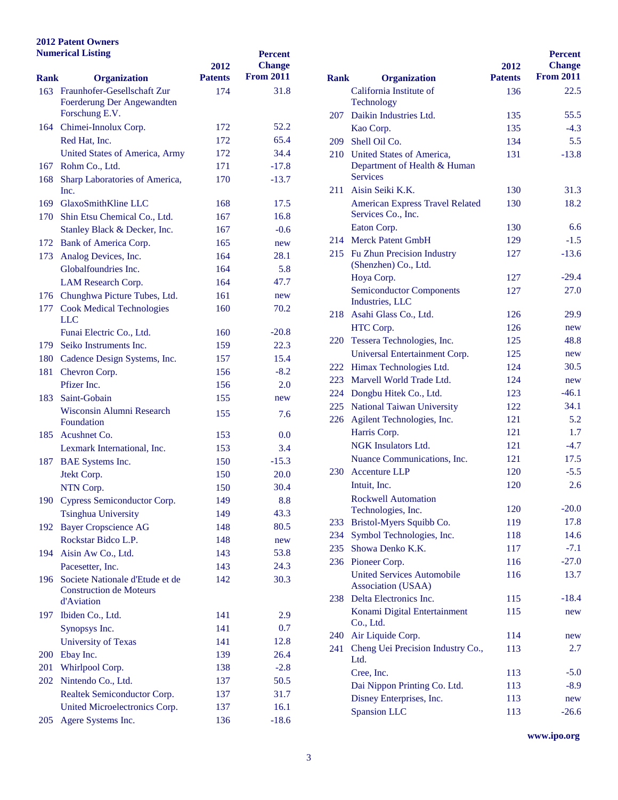|             | <b>Numerical Listing</b>                     | 2012           | <b>Percent</b><br><b>Change</b> |      |                                                   |
|-------------|----------------------------------------------|----------------|---------------------------------|------|---------------------------------------------------|
| <b>Rank</b> | <b>Organization</b>                          | <b>Patents</b> | <b>From 2011</b>                | Rank | <b>Organization</b>                               |
|             | 163 Fraunhofer-Gesellschaft Zur              | 174            | 31.8                            |      | California Institute of                           |
|             | Foerderung Der Angewandten                   |                |                                 |      | Technology                                        |
|             | Forschung E.V.                               |                |                                 | 207  | Daikin Industries Ltd.                            |
|             | 164 Chimei-Innolux Corp.                     | 172            | 52.2                            |      | Kao Corp.                                         |
|             | Red Hat, Inc.                                | 172            | 65.4                            | 209  | Shell Oil Co.                                     |
|             | United States of America, Army               | 172            | 34.4                            |      | 210 United States of Amer                         |
| 167         | Rohm Co., Ltd.                               | 171            | $-17.8$                         |      | <b>Department of Health</b><br><b>Services</b>    |
| 168         | Sharp Laboratories of America,               | 170            | $-13.7$                         |      |                                                   |
|             | Inc.                                         |                |                                 |      | 211 Aisin Seiki K.K.                              |
|             | 169 GlaxoSmithKline LLC                      | 168            | 17.5                            |      | <b>American Express Tra</b><br>Services Co., Inc. |
|             | 170 Shin Etsu Chemical Co., Ltd.             | 167            | 16.8                            |      | Eaton Corp.                                       |
|             | Stanley Black & Decker, Inc.                 | 167            | $-0.6$                          |      | 214 Merck Patent GmbH                             |
|             | 172 Bank of America Corp.                    | 165            | new                             |      | 215 Fu Zhun Precision Ind                         |
| 173         | Analog Devices, Inc.                         | 164            | 28.1                            |      | (Shenzhen) Co., Ltd.                              |
|             | Globalfoundries Inc.                         | 164            | 5.8                             |      | Hoya Corp.                                        |
|             | LAM Research Corp.                           | 164            | 47.7                            |      | Semiconductor Comp                                |
|             | 176 Chunghwa Picture Tubes, Ltd.             | 161            | new                             |      | Industries, LLC                                   |
| 177         | <b>Cook Medical Technologies</b>             | 160            | 70.2                            |      | 218 Asahi Glass Co., Ltd.                         |
|             | LLC                                          |                |                                 |      | HTC Corp.                                         |
|             | Funai Electric Co., Ltd.                     | 160            | $-20.8$                         |      | 220 Tessera Technologies,                         |
| 179         | Seiko Instruments Inc.                       | 159            | 22.3                            |      | <b>Universal Entertainme</b>                      |
|             | 180 Cadence Design Systems, Inc.             | 157            | 15.4                            |      | 222 Himax Technologies I                          |
| 181         | Chevron Corp.                                | 156            | $-8.2$                          |      | 223 Marvell World Trade                           |
|             | Pfizer Inc.                                  | 156            | 2.0                             |      | 224 Dongbu Hitek Co., Ltd                         |
| 183         | Saint-Gobain                                 | 155            | new                             |      | 225 National Taiwan Univ                          |
|             | Wisconsin Alumni Research                    | 155            | 7.6                             |      | 226 Agilent Technologies,                         |
|             | Foundation                                   |                |                                 |      | Harris Corp.                                      |
|             | 185 Acushnet Co.                             | 153            | 0.0                             |      | NGK Insulators Ltd.                               |
|             | Lexmark International, Inc.                  | 153            | 3.4                             |      | <b>Nuance Communicati</b>                         |
|             | 187 BAE Systems Inc.                         | 150            | $-15.3$                         |      | 230 Accenture LLP                                 |
|             | Jtekt Corp.                                  | 150            | 20.0                            |      | Intuit, Inc.                                      |
|             | NTN Corp.                                    | 150            | 30.4                            |      | <b>Rockwell Automation</b>                        |
|             | 190 Cypress Semiconductor Corp.              | 149            | 8.8                             |      | Technologies, Inc.                                |
|             | <b>Tsinghua University</b>                   | 149            | 43.3                            | 233  | <b>Bristol-Myers Squibb</b>                       |
| 192         | <b>Bayer Cropscience AG</b>                  | 148            | 80.5                            | 234  | <b>Symbol Technologies</b>                        |
|             | Rockstar Bidco L.P.                          | 148            | new                             |      | 235 Showa Denko K.K.                              |
|             | 194 Aisin Aw Co., Ltd.                       | 143            | 53.8                            |      | 236 Pioneer Corp.                                 |
|             | Pacesetter, Inc.                             | 143            | 24.3                            |      | <b>United Services Autor</b>                      |
|             | 196 Societe Nationale d'Etude et de          | 142            | 30.3                            |      | Association (USAA)                                |
|             | <b>Construction de Moteurs</b><br>d'Aviation |                |                                 |      | 238 Delta Electronics Inc.                        |
|             |                                              |                |                                 |      | Konami Digital Entert                             |
|             | 197 Ibiden Co., Ltd.                         | 141            | 2.9                             |      | Co., Ltd.                                         |
|             | Synopsys Inc.                                | 141            | 0.7                             | 240  | Air Liquide Corp.                                 |
|             | <b>University of Texas</b>                   | 141            | 12.8                            | 241  | Cheng Uei Precision I                             |
| <b>200</b>  | Ebay Inc.                                    | 139            | 26.4                            |      | Ltd.                                              |
| 201         | Whirlpool Corp.                              | 138            | $-2.8$                          |      | Cree, Inc.                                        |
| 202         | Nintendo Co., Ltd.                           | 137            | 50.5                            |      | Dai Nippon Printing O                             |
|             | Realtek Semiconductor Corp.                  | 137            | 31.7                            |      | Disney Enterprises, In                            |
|             | United Microelectronics Corp.                | 137            | 16.1                            |      | <b>Spansion LLC</b>                               |
| 205         | Agere Systems Inc.                           | 136            | $-18.6$                         |      |                                                   |

| Rank |                                                                                  | 2012<br><b>Patents</b> | <b>Percent</b><br><b>Change</b><br><b>From 2011</b> |
|------|----------------------------------------------------------------------------------|------------------------|-----------------------------------------------------|
|      | <b>Organization</b>                                                              |                        |                                                     |
|      | California Institute of<br>Technology                                            | 136                    | 22.5                                                |
| 207  | Daikin Industries Ltd.                                                           | 135                    | 55.5                                                |
|      | Kao Corp.                                                                        | 135                    | $-4.3$                                              |
| 209  | Shell Oil Co.                                                                    | 134                    | 5.5                                                 |
|      | 210 United States of America,<br>Department of Health & Human<br><b>Services</b> | 131                    | $-13.8$                                             |
|      | 211 Aisin Seiki K.K.                                                             | 130                    | 31.3                                                |
|      | <b>American Express Travel Related</b><br>Services Co., Inc.                     | 130                    | 18.2                                                |
|      | Eaton Corp.                                                                      | 130                    | 6.6                                                 |
|      | 214 Merck Patent GmbH                                                            | 129                    | $-1.5$                                              |
|      | 215 Fu Zhun Precision Industry<br>(Shenzhen) Co., Ltd.                           | 127                    | $-13.6$                                             |
|      | Hoya Corp.                                                                       | 127                    | $-29.4$                                             |
|      | <b>Semiconductor Components</b><br>Industries, LLC                               | 127                    | 27.0                                                |
| 218  | Asahi Glass Co., Ltd.                                                            | 126                    | 29.9                                                |
|      | HTC Corp.                                                                        | 126                    | new                                                 |
| 220  | Tessera Technologies, Inc.                                                       | 125                    | 48.8                                                |
|      | Universal Entertainment Corp.                                                    | 125                    | new                                                 |
| 222  | Himax Technologies Ltd.                                                          | 124                    | 30.5                                                |
| 223  | Marvell World Trade Ltd.                                                         | 124                    | new                                                 |
| 224  | Dongbu Hitek Co., Ltd.                                                           | 123                    | $-46.1$                                             |
| 225  | <b>National Taiwan University</b>                                                | 122                    | 34.1                                                |
| 226  | Agilent Technologies, Inc.                                                       | 121                    | 5.2                                                 |
|      | Harris Corp.                                                                     | 121                    | 1.7                                                 |
|      | <b>NGK</b> Insulators Ltd.                                                       | 121                    | $-4.7$                                              |
|      | Nuance Communications, Inc.                                                      | 121                    | 17.5                                                |
| 230  | <b>Accenture LLP</b>                                                             | 120                    | $-5.5$                                              |
|      | Intuit, Inc.<br><b>Rockwell Automation</b>                                       | 120                    | 2.6                                                 |
|      | Technologies, Inc.                                                               | 120                    | $-20.0$                                             |
| 233  | Bristol-Myers Squibb Co.                                                         | 119                    | 17.8                                                |
| 234  | Symbol Technologies, Inc.                                                        | 118                    | 14.6                                                |
| 235  | Showa Denko K.K.                                                                 | 117                    | $-7.1$                                              |
| 236  | Pioneer Corp.                                                                    | 116                    | $-27.0$                                             |
|      | <b>United Services Automobile</b><br>Association (USAA)                          | 116                    | 13.7                                                |
| 238  | Delta Electronics Inc.                                                           | 115                    | $-18.4$                                             |
|      | Konami Digital Entertainment<br>Co., Ltd.                                        | 115                    | new                                                 |
| 240  | Air Liquide Corp.                                                                | 114                    | new                                                 |
| 241  | Cheng Uei Precision Industry Co.,<br>Ltd.                                        | 113                    | 2.7                                                 |
|      | Cree, Inc.                                                                       | 113                    | $-5.0$                                              |
|      | Dai Nippon Printing Co. Ltd.                                                     | 113                    | $-8.9$                                              |
|      | Disney Enterprises, Inc.                                                         | 113                    | new                                                 |
|      | <b>Spansion LLC</b>                                                              | 113                    | $-26.6$                                             |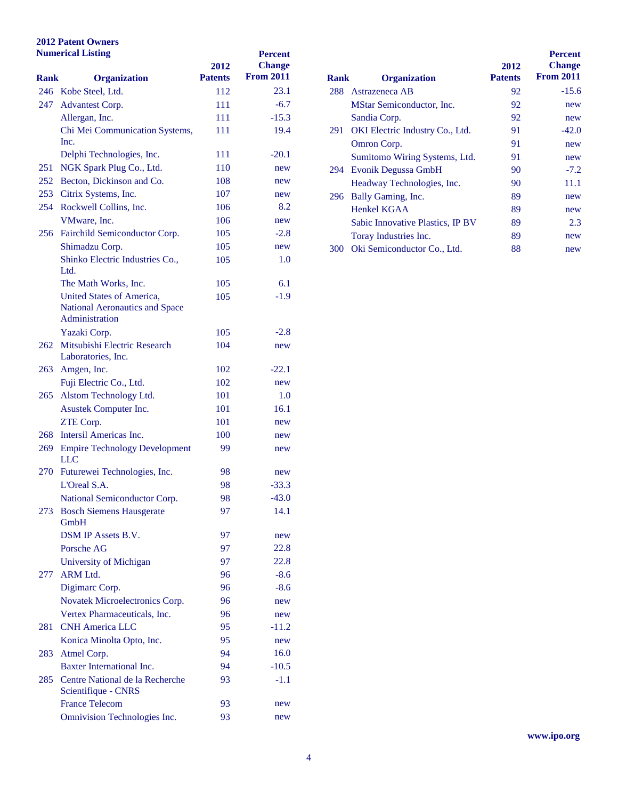|             | <b>Numerical Listing</b>                                                      | 2012           | <b>Percent</b><br><b>Change</b> |      |                               |
|-------------|-------------------------------------------------------------------------------|----------------|---------------------------------|------|-------------------------------|
| <b>Rank</b> | <b>Organization</b>                                                           | <b>Patents</b> | <b>From 2011</b>                | Rank | <b>Organization</b>           |
|             | 246 Kobe Steel, Ltd.                                                          | 112            | 23.1                            |      | 288 Astrazeneca AB            |
| 247         | <b>Advantest Corp.</b>                                                        | 111            | $-6.7$                          |      | <b>MStar Semiconductor</b>    |
|             | Allergan, Inc.                                                                | 111            | $-15.3$                         |      | Sandia Corp.                  |
|             | Chi Mei Communication Systems,                                                | 111            | 19.4                            |      | 291 OKI Electric Industry     |
|             | Inc.                                                                          |                |                                 |      | Omron Corp.                   |
|             | Delphi Technologies, Inc.                                                     | 111            | $-20.1$                         |      | <b>Sumitomo Wiring Sys</b>    |
| 251         | NGK Spark Plug Co., Ltd.                                                      | 110            | new                             |      | 294 Evonik Degussa Gmb        |
|             | 252 Becton, Dickinson and Co.                                                 | 108            | new                             |      | Headway Technologie           |
| 253         | Citrix Systems, Inc.                                                          | 107            | new                             |      | 296 Bally Gaming, Inc.        |
|             | 254 Rockwell Collins, Inc.                                                    | 106            | 8.2                             |      | <b>Henkel KGAA</b>            |
|             | VMware, Inc.                                                                  | 106            | new                             |      | <b>Sabic Innovative Plast</b> |
|             | 256 Fairchild Semiconductor Corp.                                             | 105            | $-2.8$                          |      | Toray Industries Inc.         |
|             | Shimadzu Corp.                                                                | 105            | new                             |      | 300 Oki Semiconductor C       |
|             | Shinko Electric Industries Co.,<br>Ltd.                                       | 105            | 1.0                             |      |                               |
|             | The Math Works, Inc.                                                          | 105            | 6.1                             |      |                               |
|             | United States of America,<br>National Aeronautics and Space<br>Administration | 105            | $-1.9$                          |      |                               |
|             | Yazaki Corp.                                                                  | 105            | $-2.8$                          |      |                               |
| 262         | Mitsubishi Electric Research<br>Laboratories, Inc.                            | 104            | new                             |      |                               |
| 263         | Amgen, Inc.                                                                   | 102            | $-22.1$                         |      |                               |
|             | Fuji Electric Co., Ltd.                                                       | 102            | new                             |      |                               |
|             | 265 Alstom Technology Ltd.                                                    | 101            | 1.0                             |      |                               |
|             | Asustek Computer Inc.                                                         | 101            | 16.1                            |      |                               |
|             | ZTE Corp.                                                                     | 101            | new                             |      |                               |
|             | 268 Intersil Americas Inc.                                                    | 100            | new                             |      |                               |
| 269         | <b>Empire Technology Development</b><br><b>LLC</b>                            | 99             | new                             |      |                               |
|             | 270 Futurewei Technologies, Inc.                                              | 98             | new                             |      |                               |
|             | L'Oreal S.A.                                                                  | 98             | $-33.3$                         |      |                               |
|             | National Semiconductor Corp.                                                  | 98             | $-43.0$                         |      |                               |
|             | 273 Bosch Siemens Hausgerate<br>GmbH                                          | 97             | 14.1                            |      |                               |
|             | DSM IP Assets B.V.                                                            | 97             | new                             |      |                               |
|             | Porsche AG                                                                    | 97             | 22.8                            |      |                               |
|             | University of Michigan                                                        | 97             | 22.8                            |      |                               |
| 277         | ARM Ltd.                                                                      | 96             | $-8.6$                          |      |                               |
|             | Digimarc Corp.                                                                | 96             | $-8.6$                          |      |                               |
|             | Novatek Microelectronics Corp.                                                | 96             | new                             |      |                               |
|             | Vertex Pharmaceuticals, Inc.                                                  | 96             | new                             |      |                               |
| 281         | <b>CNH</b> America LLC                                                        | 95             | $-11.2$                         |      |                               |
|             | Konica Minolta Opto, Inc.                                                     | 95             | new                             |      |                               |
| 283         | Atmel Corp.                                                                   | 94             | 16.0                            |      |                               |
|             | Baxter International Inc.                                                     | 94             | $-10.5$                         |      |                               |
| 285         | Centre National de la Recherche<br>Scientifique - CNRS                        | 93             | $-1.1$                          |      |                               |
|             | <b>France Telecom</b>                                                         | 93             | new                             |      |                               |
|             | Omnivision Technologies Inc.                                                  | 93             | new                             |      |                               |
|             |                                                                               |                |                                 |      |                               |

| Rank | <b>Organization</b>                    | 2012<br><b>Patents</b> | <b>Percent</b><br><b>Change</b><br><b>From 2011</b> |
|------|----------------------------------------|------------------------|-----------------------------------------------------|
| 288  | Astrazeneca AB                         | 92                     | $-15.6$                                             |
|      | <b>MStar Semiconductor, Inc.</b>       | 92                     | new                                                 |
|      | Sandia Corp.                           | 92                     | new                                                 |
| 291  | <b>OKI</b> Electric Industry Co., Ltd. | 91                     | $-42.0$                                             |
|      | Omron Corp.                            | 91                     | new                                                 |
|      | Sumitomo Wiring Systems, Ltd.          | 91                     | new                                                 |
| 294  | Evonik Degussa GmbH                    | 90                     | $-7.2$                                              |
|      | Headway Technologies, Inc.             | 90                     | 11.1                                                |
| 296  | Bally Gaming, Inc.                     | 89                     | new                                                 |
|      | <b>Henkel KGAA</b>                     | 89                     | new                                                 |
|      | Sabic Innovative Plastics, IP BV       | 89                     | 2.3                                                 |
|      | Toray Industries Inc.                  | 89                     | new                                                 |
| 300  | Oki Semiconductor Co., Ltd.            | 88                     | new                                                 |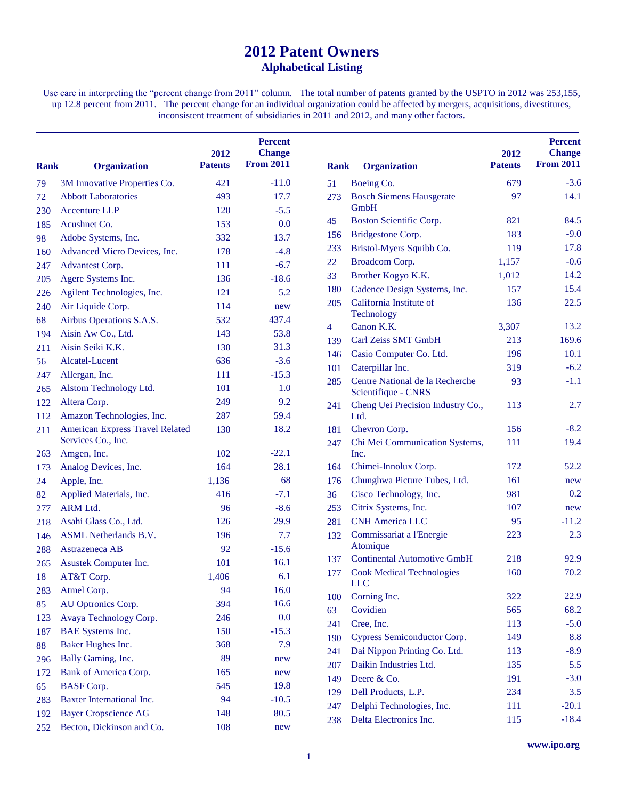# **Patent Owners Alphabetical Listing**

Use care in interpreting the "percent change from 2011" column. The total number of patents granted by the USPTO in 2012 was 253,155, up 12.8 percent from 2011. The percent change for an individual organization could be affected by mergers, acquisitions, divestitures, inconsistent treatment of subsidiaries in 2011 and 2012, and many other factors.

| <b>Rank</b> | <b>Organization</b>                    | 2012<br><b>Patents</b> | <b>Percent</b><br><b>Change</b><br><b>From 2011</b> | <b>Rank</b> | <b>Organization</b>                                    | 2012<br><b>Patents</b> | <b>Percent</b><br><b>Change</b><br><b>From 2011</b> |
|-------------|----------------------------------------|------------------------|-----------------------------------------------------|-------------|--------------------------------------------------------|------------------------|-----------------------------------------------------|
| 79          | 3M Innovative Properties Co.           | 421                    | $-11.0$                                             | 51          | Boeing Co.                                             | 679                    | $-3.6$                                              |
| 72          | <b>Abbott Laboratories</b>             | 493                    | 17.7                                                | 273         | <b>Bosch Siemens Hausgerate</b>                        | 97                     | 14.1                                                |
| 230         | <b>Accenture LLP</b>                   | 120                    | $-5.5$                                              |             | GmbH                                                   |                        |                                                     |
| 185         | Acushnet Co.                           | 153                    | 0.0                                                 | 45          | Boston Scientific Corp.                                | 821                    | 84.5                                                |
| 98          | Adobe Systems, Inc.                    | 332                    | 13.7                                                | 156         | <b>Bridgestone Corp.</b>                               | 183                    | $-9.0$                                              |
| 160         | Advanced Micro Devices, Inc.           | 178                    | $-4.8$                                              | 233         | Bristol-Myers Squibb Co.                               | 119                    | 17.8                                                |
| 247         | <b>Advantest Corp.</b>                 | 111                    | $-6.7$                                              | 22          | Broadcom Corp.                                         | 1,157                  | $-0.6$                                              |
| 205         | Agere Systems Inc.                     | 136                    | $-18.6$                                             | 33          | Brother Kogyo K.K.                                     | 1,012                  | 14.2                                                |
| 226         | Agilent Technologies, Inc.             | 121                    | 5.2                                                 | 180         | Cadence Design Systems, Inc.                           | 157                    | 15.4                                                |
| 240         | Air Liquide Corp.                      | 114                    | new                                                 | 205         | California Institute of                                | 136                    | 22.5                                                |
| 68          | Airbus Operations S.A.S.               | 532                    | 437.4                                               |             | Technology                                             |                        |                                                     |
| 194         | Aisin Aw Co., Ltd.                     | 143                    | 53.8                                                | 4           | Canon K.K.                                             | 3,307                  | 13.2                                                |
| 211         | Aisin Seiki K.K.                       | 130                    | 31.3                                                | 139         | Carl Zeiss SMT GmbH                                    | 213                    | 169.6                                               |
| 56          | Alcatel-Lucent                         | 636                    | $-3.6$                                              | 146         | Casio Computer Co. Ltd.                                | 196                    | 10.1                                                |
| 247         | Allergan, Inc.                         | 111                    | $-15.3$                                             | 101         | Caterpillar Inc.                                       | 319                    | $-6.2$                                              |
| 265         | Alstom Technology Ltd.                 | 101                    | 1.0                                                 | 285         | Centre National de la Recherche<br>Scientifique - CNRS | 93                     | $-1.1$                                              |
| 122         | Altera Corp.                           | 249                    | 9.2                                                 | 241         | Cheng Uei Precision Industry Co.,                      | 113                    | 2.7                                                 |
| 112         | Amazon Technologies, Inc.              | 287                    | 59.4                                                |             | Ltd.                                                   |                        |                                                     |
| 211         | <b>American Express Travel Related</b> | 130                    | 18.2                                                | 181         | Chevron Corp.                                          | 156                    | $-8.2$                                              |
|             | Services Co., Inc.                     |                        |                                                     | 247         | Chi Mei Communication Systems,                         | 111                    | 19.4                                                |
| 263         | Amgen, Inc.                            | 102                    | $-22.1$                                             |             | Inc.                                                   |                        |                                                     |
| 173         | Analog Devices, Inc.                   | 164                    | 28.1                                                | 164         | Chimei-Innolux Corp.                                   | 172                    | 52.2                                                |
| 24          | Apple, Inc.                            | 1,136                  | 68                                                  | 176         | Chunghwa Picture Tubes, Ltd.                           | 161                    | new                                                 |
| 82          | Applied Materials, Inc.                | 416                    | $-7.1$                                              | 36          | Cisco Technology, Inc.                                 | 981                    | 0.2                                                 |
| 277         | <b>ARM Ltd.</b>                        | 96                     | $-8.6$                                              | 253         | Citrix Systems, Inc.                                   | 107                    | new                                                 |
| 218         | Asahi Glass Co., Ltd.                  | 126                    | 29.9                                                | 281         | <b>CNH America LLC</b>                                 | 95                     | $-11.2$                                             |
| 146         | <b>ASML</b> Netherlands B.V.           | 196                    | 7.7                                                 | 132         | Commissariat a l'Energie                               | 223                    | 2.3                                                 |
| 288         | Astrazeneca AB                         | 92                     | $-15.6$                                             |             | Atomique                                               |                        |                                                     |
| 265         | Asustek Computer Inc.                  | 101                    | 16.1                                                | 137         | <b>Continental Automotive GmbH</b>                     | 218                    | 92.9                                                |
| 18          | AT&T Corp.                             | 1,406                  | 6.1                                                 | 177         | <b>Cook Medical Technologies</b><br><b>LLC</b>         | 160                    | 70.2                                                |
| 283         | Atmel Corp.                            | 94                     | 16.0                                                | 100         | Corning Inc.                                           | 322                    | 22.9                                                |
| 85          | AU Optronics Corp.                     | 394                    | 16.6                                                | 63          | Covidien                                               | 565                    | 68.2                                                |
| 123         | Avaya Technology Corp.                 | 246                    | 0.0                                                 | 241         | Cree, Inc.                                             | 113                    | $-5.0$                                              |
| 187         | <b>BAE</b> Systems Inc.                | 150                    | $-15.3$                                             | 190         | Cypress Semiconductor Corp.                            | 149                    | 8.8                                                 |
| 88          | Baker Hughes Inc.                      | 368                    | 7.9                                                 | 241         | Dai Nippon Printing Co. Ltd.                           | 113                    | $-8.9$                                              |
| 296         | Bally Gaming, Inc.                     | 89                     | new                                                 | 207         | Daikin Industries Ltd.                                 | 135                    | 5.5                                                 |
| 172         | Bank of America Corp.                  | 165                    | new                                                 | 149         | Deere & Co.                                            | 191                    | $-3.0$                                              |
| 65          | <b>BASF</b> Corp.                      | 545                    | 19.8                                                | 129         | Dell Products, L.P.                                    | 234                    | 3.5                                                 |
| 283         | <b>Baxter International Inc.</b>       | 94                     | $-10.5$                                             | 247         | Delphi Technologies, Inc.                              | 111                    | $-20.1$                                             |
| 192         | <b>Bayer Cropscience AG</b>            | 148                    | 80.5                                                | 238         | Delta Electronics Inc.                                 | 115                    | $-18.4$                                             |
| 252         | Becton, Dickinson and Co.              | 108                    | new                                                 |             |                                                        |                        |                                                     |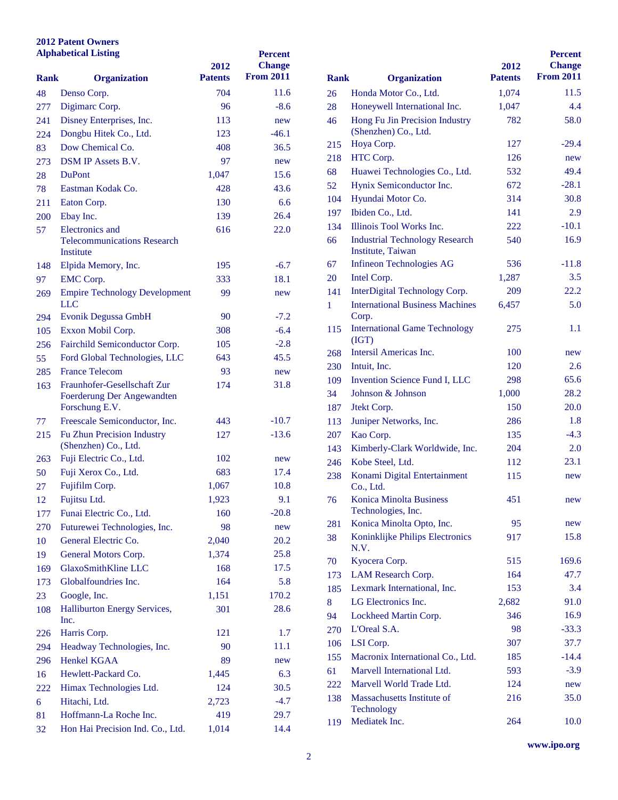#### **Patent Owners Alphabetical Listing**

| <b>Alphabetical Listing</b> |                                                 | 2012           | <b>Percent</b><br><b>Change</b> |              |                                                     |
|-----------------------------|-------------------------------------------------|----------------|---------------------------------|--------------|-----------------------------------------------------|
| Rank                        | <b>Organization</b>                             | <b>Patents</b> | <b>From 2011</b>                | <b>Rank</b>  | <b>Organization</b>                                 |
| 48                          | Denso Corp.                                     | 704            | 11.6                            | 26           | Honda Motor Co., Ltd.                               |
| 277                         | Digimarc Corp.                                  | 96             | $-8.6$                          | 28           | Honeywell Internationa                              |
| 241                         | Disney Enterprises, Inc.                        | 113            | new                             | 46           | Hong Fu Jin Precision I                             |
| 224                         | Dongbu Hitek Co., Ltd.                          | 123            | $-46.1$                         |              | (Shenzhen) Co., Ltd.                                |
| 83                          | Dow Chemical Co.                                | 408            | 36.5                            | 215          | Hoya Corp.                                          |
| 273                         | DSM IP Assets B.V.                              | 97             | new                             | 218          | HTC Corp.                                           |
| 28                          | <b>DuPont</b>                                   | 1,047          | 15.6                            | 68           | Huawei Technologies C                               |
| 78                          | Eastman Kodak Co.                               | 428            | 43.6                            | 52           | Hynix Semiconductor I                               |
| 211                         | Eaton Corp.                                     | 130            | 6.6                             | 104          | Hyundai Motor Co.                                   |
| 200                         | Ebay Inc.                                       | 139            | 26.4                            | 197          | Ibiden Co., Ltd.                                    |
| 57                          | <b>Electronics</b> and                          | 616            | 22.0                            | 134          | <b>Illinois Tool Works Inc</b>                      |
|                             | <b>Telecommunications Research</b><br>Institute |                |                                 | 66           | <b>Industrial Technology F</b><br>Institute, Taiwan |
| 148                         | Elpida Memory, Inc.                             | 195            | $-6.7$                          | 67           | Infineon Technologies                               |
| 97                          | <b>EMC</b> Corp.                                | 333            | 18.1                            | 20           | Intel Corp.                                         |
| 269                         | <b>Empire Technology Development</b>            | 99             | new                             | 141          | <b>InterDigital Technology</b>                      |
|                             | LLC                                             |                |                                 | $\mathbf{1}$ | <b>International Business N</b>                     |
| 294                         | <b>Evonik Degussa GmbH</b>                      | 90             | $-7.2$                          |              | Corp.                                               |
| 105                         | Exxon Mobil Corp.                               | 308            | $-6.4$                          | 115          | <b>International Game Tec</b>                       |
| 256                         | Fairchild Semiconductor Corp.                   | 105            | $-2.8$                          |              | (IGT)                                               |
| 55                          | Ford Global Technologies, LLC                   | 643            | 45.5                            | 268          | Intersil Americas Inc.                              |
| 285                         | <b>France Telecom</b>                           | 93             | new                             | 230          | Intuit, Inc.                                        |
| 163                         | Fraunhofer-Gesellschaft Zur                     | 174            | 31.8                            | 109          | <b>Invention Science Fund</b>                       |
|                             | Foerderung Der Angewandten                      |                |                                 | 34           | Johnson & Johnson                                   |
|                             | Forschung E.V.                                  |                |                                 | 187          | Jtekt Corp.                                         |
| 77                          | Freescale Semiconductor, Inc.                   | 443            | $-10.7$                         | 113          | Juniper Networks, Inc.                              |
| 215                         | Fu Zhun Precision Industry                      | 127            | $-13.6$                         | 207          | Kao Corp.                                           |
|                             | (Shenzhen) Co., Ltd.                            |                |                                 | 143          | Kimberly-Clark Worldv                               |
| 263                         | Fuji Electric Co., Ltd.                         | 102            | new                             | 246          | Kobe Steel, Ltd.                                    |
| 50                          | Fuji Xerox Co., Ltd.                            | 683            | 17.4                            | 238          | Konami Digital Enterta                              |
| 27                          | Fujifilm Corp.                                  | 1,067          | 10.8                            |              | Co., Ltd.                                           |
| 12                          | Fujitsu Ltd.                                    | 1,923          | 9.1                             | 76           | Konica Minolta Busines                              |
| 177                         | Funai Electric Co., Ltd.                        | 160            | $-20.8$                         |              | Technologies, Inc.<br>Konica Minolta Opto, I        |
| 270                         | Futurewei Technologies, Inc.                    | 98             | new                             | 281          |                                                     |
| 10                          | General Electric Co.                            | 2,040          | 20.2                            | 38           | Koninklijke Philips Ele<br>N.V.                     |
| 19                          | General Motors Corp.                            | 1,374          | 25.8                            | 70           | Kyocera Corp.                                       |
| 169                         | GlaxoSmithKline LLC                             | 168            | 17.5                            | 173          | LAM Research Corp.                                  |
| 173                         | Globalfoundries Inc.                            | 164            | 5.8                             | 185          | Lexmark International,                              |
| 23                          | Google, Inc.                                    | 1,151          | 170.2                           | 8            | LG Electronics Inc.                                 |
| 108                         | Halliburton Energy Services,                    | 301            | 28.6                            | 94           | Lockheed Martin Corp.                               |
|                             | Inc.                                            |                |                                 | 270          | L'Oreal S.A.                                        |
| 226                         | Harris Corp.                                    | 121            | 1.7                             | 106          | LSI Corp.                                           |
| 294                         | Headway Technologies, Inc.                      | 90             | 11.1                            |              | Macronix International                              |
| 296                         | <b>Henkel KGAA</b>                              | 89             | new                             | 155          |                                                     |
| 16                          | Hewlett-Packard Co.                             | 1,445          | 6.3                             | 61           | Marvell International L                             |
| 222                         | Himax Technologies Ltd.                         | 124            | 30.5                            | 222          | Marvell World Trade L                               |
| 6                           | Hitachi, Ltd.                                   | 2,723          | $-4.7$                          | 138          | <b>Massachusetts Institute</b><br>Technology        |
| 81                          | Hoffmann-La Roche Inc.                          | 419            | 29.7                            | 119          | Mediatek Inc.                                       |
| 32                          | Hon Hai Precision Ind. Co., Ltd.                | 1,014          | 14.4                            |              |                                                     |

|             |                                                            |                | <b>Percent</b>   |
|-------------|------------------------------------------------------------|----------------|------------------|
|             |                                                            | 2012           | <b>Change</b>    |
| <b>Rank</b> | <b>Organization</b>                                        | <b>Patents</b> | <b>From 2011</b> |
| 26          | Honda Motor Co., Ltd.                                      | 1,074          | 11.5             |
| 28          | Honeywell International Inc.                               | 1,047          | 4.4              |
| 46          | Hong Fu Jin Precision Industry<br>(Shenzhen) Co., Ltd.     | 782            | 58.0             |
| 215         | Hoya Corp.                                                 | 127            | $-29.4$          |
| 218         | HTC Corp.                                                  | 126            | new              |
| 68          | Huawei Technologies Co., Ltd.                              | 532            | 49.4             |
| 52          | Hynix Semiconductor Inc.                                   | 672            | $-28.1$          |
| 104         | Hyundai Motor Co.                                          | 314            | 30.8             |
| 197         | Ibiden Co., Ltd.                                           | 141            | 2.9              |
| 134         | Illinois Tool Works Inc.                                   | 222            | $-10.1$          |
| 66          | <b>Industrial Technology Research</b><br>Institute, Taiwan | 540            | 16.9             |
| 67          | <b>Infineon Technologies AG</b>                            | 536            | $-11.8$          |
| 20          | Intel Corp.                                                | 1,287          | 3.5              |
| 141         | InterDigital Technology Corp.                              | 209            | 22.2             |
| 1           | <b>International Business Machines</b><br>Corp.            | 6,457          | 5.0              |
| 115         | <b>International Game Technology</b><br>(IGT)              | 275            | 1.1              |
| 268         | Intersil Americas Inc.                                     | 100            | new              |
| 230         | Intuit, Inc.                                               | 120            | 2.6              |
| 109         | Invention Science Fund I, LLC                              | 298            | 65.6             |
| 34          | Johnson & Johnson                                          | 1,000          | 28.2             |
| 187         | Jtekt Corp.                                                | 150            | 20.0             |
| 113         | Juniper Networks, Inc.                                     | 286            | 1.8              |
| 207         | Kao Corp.                                                  | 135            | $-4.3$           |
| 143         | Kimberly-Clark Worldwide, Inc.                             | 204            | 2.0              |
| 246         | Kobe Steel, Ltd.                                           | 112            | 23.1             |
| 238         | Konami Digital Entertainment<br>Co., Ltd.                  | 115            | new              |
| 76          | <b>Konica Minolta Business</b><br>Technologies, Inc.       | 451            | new              |
| 281         | Konica Minolta Opto, Inc.                                  | 95             | new              |
| 38          | Koninklijke Philips Electronics<br>N.V.                    | 917            | 15.8             |
| 70          | Kyocera Corp.                                              | 515            | 169.6            |
| 173         | LAM Research Corp.                                         | 164            | 47.7             |
| 185         | Lexmark International, Inc.                                | 153            | 3.4              |
| 8           | LG Electronics Inc.                                        | 2,682          | 91.0             |
| 94          | Lockheed Martin Corp.                                      | 346            | 16.9             |
| 270         | L'Oreal S.A.                                               | 98             | $-33.3$          |
| 106         | LSI Corp.                                                  | 307            | 37.7             |
| 155         | Macronix International Co., Ltd.                           | 185            | $-14.4$          |
| 61          | Marvell International Ltd.                                 | 593            | $-3.9$           |
| 222         | Marvell World Trade Ltd.                                   | 124            | new              |
| 138         | Massachusetts Institute of                                 | 216            | 35.0             |
|             | Technology                                                 |                |                  |
| 119         | Mediatek Inc.                                              | 264            | 10.0             |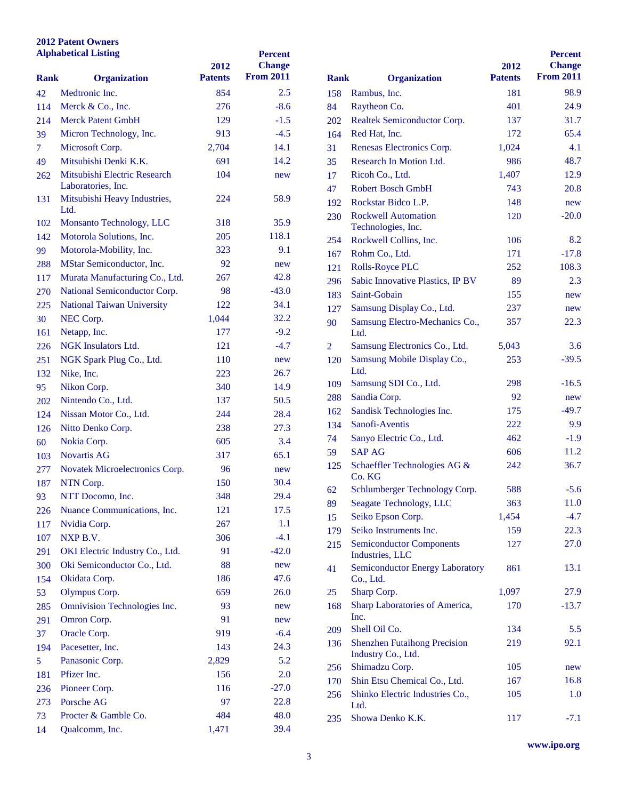#### **Patent Owners Alphabetical Listing**

| <b>Alphabetical Listing</b> |                                      | 2012           | <b>Percent</b><br><b>Change</b> |                |                                                     |
|-----------------------------|--------------------------------------|----------------|---------------------------------|----------------|-----------------------------------------------------|
| <b>Rank</b>                 | <b>Organization</b>                  | <b>Patents</b> | <b>From 2011</b>                | <b>Rank</b>    | <b>Organization</b>                                 |
| 42                          | Medtronic Inc.                       | 854            | 2.5                             | 158            | Rambus, Inc.                                        |
| 114                         | Merck & Co., Inc.                    | 276            | $-8.6$                          | 84             | Raytheon Co.                                        |
| 214                         | <b>Merck Patent GmbH</b>             | 129            | $-1.5$                          | 202            | <b>Realtek Semiconductor</b>                        |
| 39                          | Micron Technology, Inc.              | 913            | $-4.5$                          | 164            | Red Hat, Inc.                                       |
| $\tau$                      | Microsoft Corp.                      | 2,704          | 14.1                            | 31             | <b>Renesas Electronics Co</b>                       |
| 49                          | Mitsubishi Denki K.K.                | 691            | 14.2                            | 35             | <b>Research In Motion Ltd</b>                       |
| 262                         | Mitsubishi Electric Research         | 104            | new                             | 17             | Ricoh Co., Ltd.                                     |
|                             | Laboratories, Inc.                   |                |                                 | 47             | <b>Robert Bosch GmbH</b>                            |
| 131                         | Mitsubishi Heavy Industries,<br>Ltd. | 224            | 58.9                            | 192            | Rockstar Bidco L.P.                                 |
| 102                         | Monsanto Technology, LLC             | 318            | 35.9                            | 230            | <b>Rockwell Automation</b>                          |
| 142                         | Motorola Solutions, Inc.             | 205            | 118.1                           |                | Technologies, Inc.                                  |
| 99                          | Motorola-Mobility, Inc.              | 323            | 9.1                             | 254            | Rockwell Collins, Inc.                              |
| 288                         | MStar Semiconductor, Inc.            | 92             | new                             | 167            | Rohm Co., Ltd.                                      |
| 117                         | Murata Manufacturing Co., Ltd.       | 267            | 42.8                            | 121            | <b>Rolls-Royce PLC</b>                              |
|                             | National Semiconductor Corp.         | 98             | $-43.0$                         | 296            | Sabic Innovative Plastic                            |
| 270                         | <b>National Taiwan University</b>    | 122            | 34.1                            | 183            | Saint-Gobain                                        |
| 225                         | NEC Corp.                            |                | 32.2                            | 127            | Samsung Display Co., I                              |
| 30                          |                                      | 1,044          | $-9.2$                          | 90             | <b>Samsung Electro-Mech</b>                         |
| 161                         | Netapp, Inc.                         | 177<br>121     | $-4.7$                          |                | Ltd.                                                |
| 226                         | NGK Insulators Ltd.                  |                |                                 | $\overline{2}$ | <b>Samsung Electronics Co</b>                       |
| 251                         | NGK Spark Plug Co., Ltd.             | 110            | new                             | 120            | <b>Samsung Mobile Displa</b><br>Ltd.                |
| 132                         | Nike, Inc.                           | 223            | 26.7                            | 109            | Samsung SDI Co., Ltd.                               |
| 95                          | Nikon Corp.                          | 340            | 14.9                            | 288            | Sandia Corp.                                        |
| 202                         | Nintendo Co., Ltd.                   | 137            | 50.5                            | 162            | Sandisk Technologies I                              |
| 124                         | Nissan Motor Co., Ltd.               | 244            | 28.4                            | 134            | Sanofi-Aventis                                      |
| 126                         | Nitto Denko Corp.                    | 238            | 27.3                            | 74             | Sanyo Electric Co., Ltd                             |
| 60                          | Nokia Corp.                          | 605            | 3.4                             | 59             | <b>SAP AG</b>                                       |
| 103                         | <b>Novartis AG</b>                   | 317            | 65.1                            | 125            | Schaeffler Technologie                              |
| 277                         | Novatek Microelectronics Corp.       | 96             | new                             |                | Co. KG                                              |
| 187                         | NTN Corp.                            | 150            | 30.4                            | 62             | Schlumberger Technolo                               |
| 93                          | NTT Docomo, Inc.                     | 348            | 29.4                            | 89             | Seagate Technology, Ll                              |
| 226                         | Nuance Communications, Inc.          | 121            | 17.5                            | 15             | Seiko Epson Corp.                                   |
| 117                         | Nvidia Corp.                         | 267            | 1.1                             | 179            | Seiko Instruments Inc.                              |
| 107                         | NXP B.V.                             | 306            | $-4.1$                          | 215            | <b>Semiconductor Compor</b>                         |
| 291                         | OKI Electric Industry Co., Ltd.      | 91             | $-42.0$                         |                | Industries, LLC                                     |
| 300                         | Oki Semiconductor Co., Ltd.          | 88             | new                             | 41             | <b>Semiconductor Energy</b>                         |
| 154                         | Okidata Corp.                        | 186            | 47.6                            |                | Co., Ltd.                                           |
| 53                          | Olympus Corp.                        | 659            | 26.0                            | 25             | Sharp Corp.                                         |
| 285                         | Omnivision Technologies Inc.         | 93             | new                             | 168            | Sharp Laboratories of A                             |
| 291                         | Omron Corp.                          | 91             | new                             |                | Inc.                                                |
| 37                          | Oracle Corp.                         | 919            | $-6.4$                          | 209            | Shell Oil Co.                                       |
| 194                         | Pacesetter, Inc.                     | 143            | 24.3                            | 136            | <b>Shenzhen Futaihong Pro</b><br>Industry Co., Ltd. |
| 5                           | Panasonic Corp.                      | 2,829          | 5.2                             | 256            | Shimadzu Corp.                                      |
| 181                         | Pfizer Inc.                          | 156            | 2.0                             | 170            | Shin Etsu Chemical Co.                              |
| 236                         | Pioneer Corp.                        | 116            | $-27.0$                         | 256            | Shinko Electric Industri                            |
| 273                         | Porsche AG                           | 97             | 22.8                            |                | Ltd.                                                |
| 73                          | Procter & Gamble Co.                 | 484            | 48.0                            | 235            | Showa Denko K.K.                                    |
| 14                          | Qualcomm, Inc.                       | 1,471          | 39.4                            |                |                                                     |

| <b>Rank</b> | <b>Organization</b>                                       | 2012<br><b>Patents</b> | <b>Percent</b><br><b>Change</b><br><b>From 2011</b> |
|-------------|-----------------------------------------------------------|------------------------|-----------------------------------------------------|
| 158         | Rambus, Inc.                                              | 181                    | 98.9                                                |
| 84          | Raytheon Co.                                              | 401                    | 24.9                                                |
| 202         | Realtek Semiconductor Corp.                               | 137                    | 31.7                                                |
| 164         | Red Hat, Inc.                                             | 172                    | 65.4                                                |
| 31          | Renesas Electronics Corp.                                 | 1,024                  | 4.1                                                 |
| 35          | Research In Motion Ltd.                                   | 986                    | 48.7                                                |
| 17          | Ricoh Co., Ltd.                                           | 1,407                  | 12.9                                                |
| 47          | <b>Robert Bosch GmbH</b>                                  | 743                    | 20.8                                                |
| 192         | Rockstar Bidco L.P.                                       | 148                    | new                                                 |
| 230         | <b>Rockwell Automation</b>                                | 120                    | $-20.0$                                             |
|             | Technologies, Inc.                                        |                        |                                                     |
| 254         | Rockwell Collins, Inc.                                    | 106                    | 8.2                                                 |
| 167         | Rohm Co., Ltd.                                            | 171                    | $-17.8$                                             |
| 121         | <b>Rolls-Royce PLC</b>                                    | 252                    | 108.3                                               |
| 296         | Sabic Innovative Plastics, IP BV                          | 89                     | 2.3                                                 |
| 183         | Saint-Gobain                                              | 155                    | new                                                 |
| 127         | Samsung Display Co., Ltd.                                 | 237                    | new                                                 |
| 90          | Samsung Electro-Mechanics Co.,<br>Ltd.                    | 357                    | 22.3                                                |
| 2           | Samsung Electronics Co., Ltd.                             | 5,043                  | 3.6                                                 |
| 120         | Samsung Mobile Display Co.,<br>Ltd.                       | 253                    | $-39.5$                                             |
| 109         | Samsung SDI Co., Ltd.                                     | 298                    | $-16.5$                                             |
| 288         | Sandia Corp.                                              | 92                     | new                                                 |
| 162         | Sandisk Technologies Inc.                                 | 175                    | $-49.7$                                             |
| 134         | Sanofi-Aventis                                            | 222                    | 9.9                                                 |
| 74          | Sanyo Electric Co., Ltd.                                  | 462                    | $-1.9$                                              |
| 59          | <b>SAP AG</b>                                             | 606                    | 11.2                                                |
| 125         | Schaeffler Technologies AG &<br>Co. KG                    | 242                    | 36.7                                                |
| 62          | Schlumberger Technology Corp.                             | 588                    | $-5.6$                                              |
| 89          | Seagate Technology, LLC                                   | 363                    | 11.0                                                |
| 15          | Seiko Epson Corp.                                         | 1,454                  | $-4.7$                                              |
| 179         | Seiko Instruments Inc.                                    | 159                    | 22.3                                                |
| 215         | <b>Semiconductor Components</b><br>Industries, LLC        | 127                    | 27.0                                                |
| 41          | <b>Semiconductor Energy Laboratory</b><br>Co., Ltd.       | 861                    | 13.1                                                |
| 25          | Sharp Corp.                                               | 1,097                  | 27.9                                                |
| 168         | Sharp Laboratories of America,<br>Inc.                    | 170                    | $-13.7$                                             |
| 209         | Shell Oil Co.                                             | 134                    | 5.5                                                 |
| 136         | <b>Shenzhen Futaihong Precision</b><br>Industry Co., Ltd. | 219                    | 92.1                                                |
| 256         | Shimadzu Corp.                                            | 105                    | new                                                 |
| 170         | Shin Etsu Chemical Co., Ltd.                              | 167                    | 16.8                                                |
| 256         | Shinko Electric Industries Co.,<br>Ltd.                   | 105                    | 1.0                                                 |
| 235         | Showa Denko K.K.                                          | 117                    | $-7.1$                                              |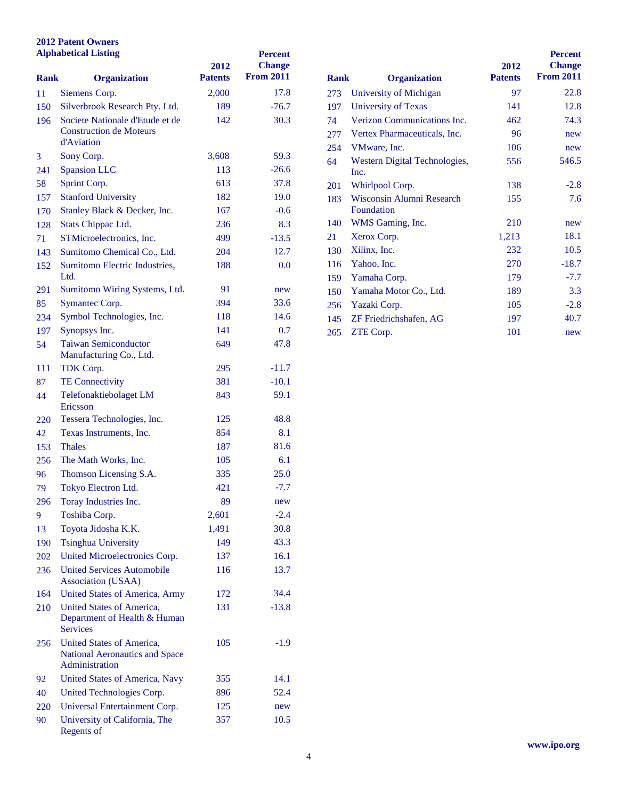| <b>Alphabetical Listing</b> |                                                                               | 2012           | <b>Percent</b><br><b>Change</b> |             |                               |
|-----------------------------|-------------------------------------------------------------------------------|----------------|---------------------------------|-------------|-------------------------------|
| <b>Rank</b>                 | <b>Organization</b>                                                           | <b>Patents</b> | <b>From 2011</b>                | <b>Rank</b> | <b>Organization</b>           |
| 11                          | Siemens Corp.                                                                 | 2,000          | 17.8                            | 273         | <b>University of Michigan</b> |
| 150                         | Silverbrook Research Pty. Ltd.                                                | 189            | $-76.7$                         | 197         | <b>University of Texas</b>    |
| 196                         | Societe Nationale d'Etude et de                                               | 142            | 30.3                            | 74          | Verizon Communicatio          |
|                             | <b>Construction de Moteurs</b>                                                |                |                                 | 277         | <b>Vertex Pharmaceuticals</b> |
|                             | d'Aviation                                                                    |                |                                 | 254         | VMware, Inc.                  |
| 3                           | Sony Corp.                                                                    | 3,608          | 59.3                            | 64          | <b>Western Digital Techno</b> |
| 241                         | <b>Spansion LLC</b>                                                           | 113            | $-26.6$                         |             | Inc.                          |
| 58                          | Sprint Corp.                                                                  | 613            | 37.8                            | 201         | Whirlpool Corp.               |
| 157                         | <b>Stanford University</b>                                                    | 182            | 19.0                            | 183         | Wisconsin Alumni Rese         |
| 170                         | Stanley Black & Decker, Inc.                                                  | 167            | $-0.6$                          |             | Foundation                    |
| 128                         | Stats Chippac Ltd.                                                            | 236            | 8.3                             | 140         | WMS Gaming, Inc.              |
| 71                          | STMicroelectronics, Inc.                                                      | 499            | $-13.5$                         | 21          | Xerox Corp.                   |
| 143                         | Sumitomo Chemical Co., Ltd.                                                   | 204            | 12.7                            | 130         | Xilinx, Inc.                  |
| 152                         | Sumitomo Electric Industries,                                                 | 188            | 0.0                             | 116         | Yahoo, Inc.                   |
|                             | Ltd.                                                                          |                |                                 | 159         | Yamaha Corp.                  |
| 291                         | Sumitomo Wiring Systems, Ltd.                                                 | 91             | new                             | 150         | Yamaha Motor Co., Ltd         |
| 85                          | Symantec Corp.                                                                | 394            | 33.6                            | 256         | Yazaki Corp.                  |
| 234                         | Symbol Technologies, Inc.                                                     | 118            | 14.6                            | 145         | ZF Friedrichshafen, AC        |
| 197                         | Synopsys Inc.                                                                 | 141            | 0.7                             | 265         | ZTE Corp.                     |
| 54                          | <b>Taiwan Semiconductor</b><br>Manufacturing Co., Ltd.                        | 649            | 47.8                            |             |                               |
| 111                         | TDK Corp.                                                                     | 295            | $-11.7$                         |             |                               |
| 87                          | <b>TE Connectivity</b>                                                        | 381            | $-10.1$                         |             |                               |
| 44                          | Telefonaktiebolaget LM<br>Ericsson                                            | 843            | 59.1                            |             |                               |
| 220                         | Tessera Technologies, Inc.                                                    | 125            | 48.8                            |             |                               |
| 42                          | Texas Instruments, Inc.                                                       | 854            | 8.1                             |             |                               |
| 153                         | <b>Thales</b>                                                                 | 187            | 81.6                            |             |                               |
| 256                         | The Math Works, Inc.                                                          | 105            | 6.1                             |             |                               |
| 96                          | Thomson Licensing S.A.                                                        | 335            | 25.0                            |             |                               |
| 79                          | Tokyo Electron Ltd.                                                           | 421            | $-7.7$                          |             |                               |
| 296                         | Toray Industries Inc.                                                         | 89             | new                             |             |                               |
| 9                           | Toshiba Corp.                                                                 | 2,601          | $-2.4$                          |             |                               |
| 13                          | Toyota Jidosha K.K.                                                           | 1,491          | 30.8                            |             |                               |
| 190                         | <b>Tsinghua University</b>                                                    | 149            | 43.3                            |             |                               |
| 202                         | United Microelectronics Corp.                                                 | 137            | 16.1                            |             |                               |
| 236                         | <b>United Services Automobile</b><br><b>Association (USAA)</b>                | 116            | 13.7                            |             |                               |
| 164                         | United States of America, Army                                                | 172            | 34.4                            |             |                               |
| 210                         | United States of America,<br>Department of Health & Human<br><b>Services</b>  | 131            | $-13.8$                         |             |                               |
| 256                         | United States of America,<br>National Aeronautics and Space<br>Administration | 105            | $-1.9$                          |             |                               |
| 92                          | United States of America, Navy                                                | 355            | 14.1                            |             |                               |
| 40                          | United Technologies Corp.                                                     | 896            | 52.4                            |             |                               |
| 220                         | Universal Entertainment Corp.                                                 | 125            | new                             |             |                               |
| 90                          | University of California, The<br>Regents of                                   | 357            | 10.5                            |             |                               |

|             |                                         |                | <b>Percent</b>   |
|-------------|-----------------------------------------|----------------|------------------|
|             |                                         | 2012           | <b>Change</b>    |
| <b>Rank</b> | <b>Organization</b>                     | <b>Patents</b> | <b>From 2011</b> |
| 273         | University of Michigan                  | 97             | 22.8             |
| 197         | University of Texas                     | 141            | 12.8             |
| 74          | <b>Verizon Communications Inc.</b>      | 462            | 74.3             |
| 277         | Vertex Pharmaceuticals, Inc.            | 96             | new              |
| 254         | VMware, Inc.                            | 106            | new              |
| 64          | Western Digital Technologies,<br>Inc.   | 556            | 546.5            |
| 201         | Whirlpool Corp.                         | 138            | $-2.8$           |
| 183         | Wisconsin Alumni Research<br>Foundation | 155            | 7.6              |
| 140         | WMS Gaming, Inc.                        | 210            | new              |
| 21          | Xerox Corp.                             | 1,213          | 18.1             |
| 130         | Xilinx, Inc.                            | 232            | 10.5             |
| 116         | Yahoo, Inc.                             | 270            | $-18.7$          |
| 159         | Yamaha Corp.                            | 179            | $-7.7$           |
| 150         | Yamaha Motor Co., Ltd.                  | 189            | 3.3              |
| 256         | Yazaki Corp.                            | 105            | $-2.8$           |
| 145         | ZF Friedrichshafen, AG                  | 197            | 40.7             |
| 265         | ZTE Corp.                               | 101            | new              |